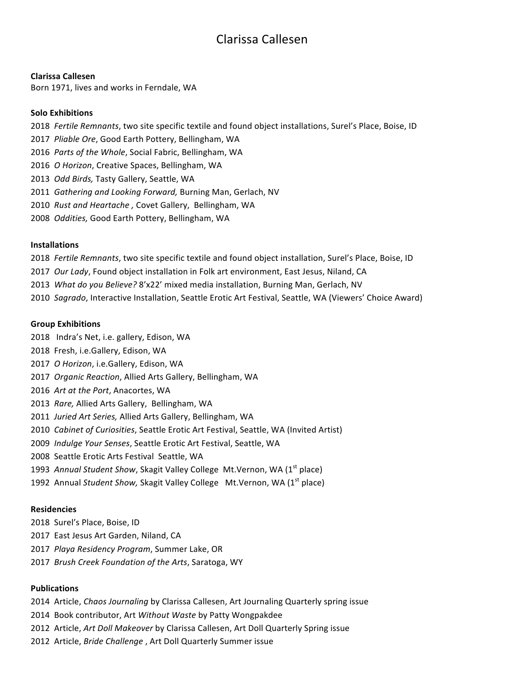# Clarissa Callesen

#### **Clarissa Callesen**

Born 1971, lives and works in Ferndale, WA

## **Solo Exhibitions**

- 2018 Fertile Remnants, two site specific textile and found object installations, Surel's Place, Boise, ID
- 2017 Pliable Ore, Good Earth Pottery, Bellingham, WA
- 2016 Parts of the Whole, Social Fabric, Bellingham, WA
- 2016 *O Horizon*, Creative Spaces, Bellingham, WA
- 2013 *Odd Birds,* Tasty Gallery, Seattle, WA
- 2011 Gathering and Looking Forward, Burning Man, Gerlach, NV
- 2010 Rust and Heartache, Covet Gallery, Bellingham, WA
- 2008 *Oddities,* Good Earth Pottery, Bellingham, WA

## **Installations**

- 2018 Fertile Remnants, two site specific textile and found object installation, Surel's Place, Boise, ID
- 2017 Our Lady, Found object installation in Folk art environment, East Jesus, Niland, CA
- 2013 What do you Believe? 8'x22' mixed media installation, Burning Man, Gerlach, NV
- 2010 Sagrado, Interactive Installation, Seattle Erotic Art Festival, Seattle, WA (Viewers' Choice Award)

#### **Group Exhibitions**

- 2018 Indra's Net, i.e. gallery, Edison, WA
- 2018 Fresh, i.e.Gallery, Edison, WA
- 2017 O Horizon, i.e.Gallery, Edison, WA
- 2017 *Organic Reaction*, Allied Arts Gallery, Bellingham, WA
- 2016 Art at the Port, Anacortes, WA
- 2013 Rare, Allied Arts Gallery, Bellingham, WA
- 2011 Juried Art Series, Allied Arts Gallery, Bellingham, WA
- 2010 Cabinet of Curiosities, Seattle Erotic Art Festival, Seattle, WA (Invited Artist)
- 2009 *Indulge Your Senses*, Seattle Erotic Art Festival, Seattle, WA
- 2008 Seattle Erotic Arts Festival Seattle, WA
- 1993 Annual Student Show, Skagit Valley College Mt.Vernon, WA (1<sup>st</sup> place)
- 1992 Annual *Student Show, Skagit Valley College* Mt.Vernon, WA (1<sup>st</sup> place)

#### **Residencies**

- 2018 Surel's Place, Boise, ID
- 2017 East Jesus Art Garden, Niland, CA
- 2017 *Playa Residency Program*, Summer Lake, OR
- 2017 *Brush Creek Foundation of the Arts*, Saratoga, WY

## **Publications**

- 2014 Article, *Chaos Journaling* by Clarissa Callesen, Art Journaling Quarterly spring issue
- 2014 Book contributor, Art *Without Waste* by Patty Wongpakdee
- 2012 Article, *Art Doll Makeover* by Clarissa Callesen, Art Doll Quarterly Spring issue
- 2012 Article, *Bride Challenge*, Art Doll Quarterly Summer issue